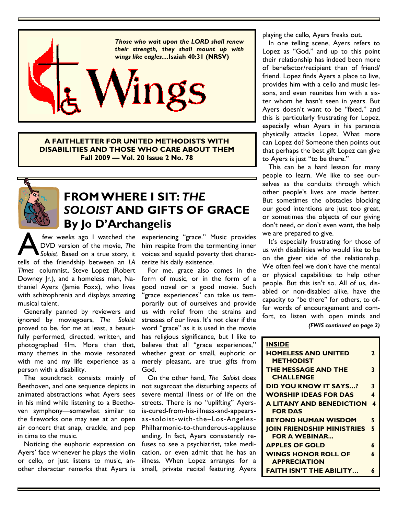

**A FAITHLETTER FOR UNITED METHODISTS WITH DISABILITIES AND THOSE WHO CARE ABOUT THEM Fall 2009 — Vol. 20 Issue 2 No. 78** 



## **FROM WHERE I SIT:** *THE SOLOIST* **AND GIFTS OF GRACE** **By Jo D'Archangelis**

few weeks ago I watched the<br>DVD version of the movie, The<br>soloist. Based on a true story, it<br>tells of the friendship between an *LA* DVD version of the movie, *The Soloist*. Based on a true story, it *Times* columnist, Steve Lopez (Robert Downey Jr.), and a homeless man, Nathaniel Ayers (Jamie Foxx), who lives with schizophrenia and displays amazing musical talent.

 Generally panned by reviewers and ignored by moviegoers, *The Soloist*  proved to be, for me at least, a beautifully performed, directed, written, and photographed film. More than that, many themes in the movie resonated with me and my life experience as a person with a disability.

 The soundtrack consists mainly of Beethoven, and one sequence depicts in animated abstractions what Ayers sees in his mind while listening to a Beethoven symphony—somewhat similar to the fireworks one may see at an open air concert that snap, crackle, and pop in time to the music.

 Noticing the euphoric expression on Ayers' face whenever he plays the violin or cello, or just listens to music, another character remarks that Ayers is

few weeks ago I watched the experiencing "grace." Music provides him respite from the tormenting inner voices and squalid poverty that characterize his daily existence.

> For me, grace also comes in the form of music, or in the form of a good novel or a good movie. Such "grace experiences" can take us temporarily out of ourselves and provide us with relief from the strains and stresses of our lives. It's not clear if the word "grace" as it is used in the movie has religious significance, but I like to believe that all "grace experiences," whether great or small, euphoric or merely pleasant, are true gifts from God.

> On the other hand, *The Soloist* does not sugarcoat the disturbing aspects of severe mental illness or of life on the streets. There is no "uplifting" Ayersis-cured-from-his-illness-and-appearsas-soloist-with-the–Los-Angeles-Philharmonic-to-thunderous-applause ending. In fact, Ayers consistently refuses to see a psychiatrist, take medication, or even admit that he has an illness. When Lopez arranges for a small, private recital featuring Ayers

playing the cello, Ayers freaks out.

 In one telling scene, Ayers refers to Lopez as "God," and up to this point their relationship has indeed been more of benefactor/recipient than of friend/ friend. Lopez finds Ayers a place to live, provides him with a cello and music lessons, and even reunites him with a sister whom he hasn't seen in years. But Ayers doesn't want to be "fixed," and this is particularly frustrating for Lopez, especially when Ayers in his paranoia physically attacks Lopez. What more can Lopez do? Someone then points out that perhaps the best gift Lopez can give to Ayers is just "to be there."

 This can be a hard lesson for many people to learn. We like to see ourselves as the conduits through which other people's lives are made better. But sometimes the obstacles blocking our good intentions are just too great, or sometimes the objects of our giving don't need, or don't even want, the help we are prepared to give.

 It's especially frustrating for those of us with disabilities who would like to be on the giver side of the relationship. We often feel we don't have the mental or physical capabilities to help other people. But this isn't so. All of us, disabled or non-disabled alike, have the capacity to "be there" for others, to offer words of encouragement and comfort, to listen with open minds and *(FWIS continued on page 2)*

| <b>INSIDE</b>                                             |              |
|-----------------------------------------------------------|--------------|
| <b>HOMELESS AND UNITED</b><br><b>METHODIST</b>            | $\mathbf{z}$ |
| THE MESSAGE AND THE<br><b>CHALLENGE</b>                   | 3            |
| DID YOU KNOW IT SAYS?                                     | 3            |
| <b>WORSHIP IDEAS FOR DAS</b>                              | 4            |
| A LITANY AND BENEDICTION<br><b>FOR DAS</b>                | 4            |
| <b>BEYOND HUMAN WISDOM</b>                                | 5            |
| <b>JOIN FRIENDSHIP MINISTRIES</b><br><b>FOR A WEBINAR</b> | 5            |
| <b>APPLES OF GOLD</b>                                     | 6            |
| <b>WINGS HONOR ROLL OF</b><br><b>APPRECIATION</b>         | 6            |
| <b>FAITH ISN'T THE ABILITY</b>                            | 6            |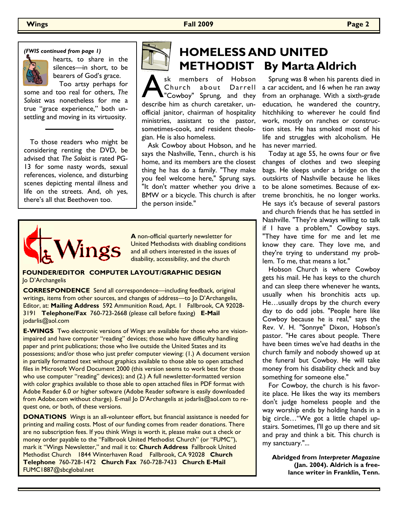*(FWIS continued from page 1)*



hearts, to share in the silences—in short, to be bearers of God's grace. Too artsy perhaps for

some and too real for others, *The Soloist* was nonetheless for me a true "grace experience," both unsettling and moving in its virtuosity.

 To those readers who might be considering renting the DVD, be advised that *The Soloist* is rated PG-13 for some nasty words, sexual references, violence, and disturbing scenes depicting mental illness and life on the streets. And, oh yes, there's all that Beethoven too.



# **HOMELESS AND UNITED METHODIST By Marta Aldrich**

Sk members of Hobson<br>Church about Darrell<br>describe him as church caretaker, unsk members of Hobson Church about Darrell "Cowboy" Sprung, and they official janitor, chairman of hospitality ministries, assistant to the pastor, sometimes-cook, and resident theologian. He is also homeless.

 Ask Cowboy about Hobson, and he says the Nashville, Tenn., church is his home, and its members are the closest thing he has do a family. "They make you feel welcome here," Sprung says. "It don't matter whether you drive a BMW or a bicycle. This church is after the person inside."



**A** non-official quarterly newsletter for United Methodists with disabling conditions and all others interested in the issues of disability, accessibility, and the church

#### **FOUNDER/EDITOR COMPUTER LAYOUT/GRAPHIC DESIGN**  Jo D'Archangelis

**CORRESPONDENCE** Send all correspondence—including feedback, original writings, items from other sources, and changes of address—to Jo D'Archangelis, Editor, at: **Mailing Address** 592 Ammunition Road, Apt. 1 Fallbrook, CA 92028- 3191 **Telephone/Fax** 760-723-2668 (please call before faxing) **E-Mail**  jodarlis@aol.com

**E-WINGS** Two electronic versions of *Wings* are available for those who are visionimpaired and have computer "reading" devices; those who have difficulty handling paper and print publications; those who live outside the United States and its possessions; and/or those who just prefer computer viewing: (1.) A document version in partially formatted text without graphics available to those able to open attached files in Microsoft Word Document 2000 (this version seems to work best for those who use computer "reading" devices); and (2.) A full newsletter-formatted version with color graphics available to those able to open attached files in PDF format with Adobe Reader 6.0 or higher software (Adobe Reader software is easily downloaded from Adobe.com without charge). E-mail Jo D'Archangelis at jodarlis@aol.com to request one, or both, of these versions.

**DONATIONS** *Wings* is an all-volunteer effort, but financial assistance is needed for printing and mailing costs. Most of our funding comes from reader donations. There are no subscription fees. If you think *Wings* is worth it, please make out a check or money order payable to the "Fallbrook United Methodist Church" (or "FUMC"), mark it "Wings Newsletter," and mail it to: **Church Address** Fallbrook United Methodist Church 1844 Winterhaven Road Fallbrook, CA 92028 **Church Telephone** 760-728-1472 **Church Fax** 760-728-7433 **Church E-Mail**  FUMC1887@sbcglobal.net

 Sprung was 8 when his parents died in a car accident, and 16 when he ran away from an orphanage. With a sixth-grade education, he wandered the country, hitchhiking to wherever he could find work, mostly on ranches or construction sites. He has smoked most of his life and struggles with alcoholism. He has never married.

 Today at age 55, he owns four or five changes of clothes and two sleeping bags. He sleeps under a bridge on the outskirts of Nashville because he likes to be alone sometimes. Because of extreme bronchitis, he no longer works. He says it's because of several pastors and church friends that he has settled in Nashville. "They're always willing to talk if I have a problem," Cowboy says. "They have time for me and let me know they care. They love me, and they're trying to understand my problem. To me, that means a lot."

 Hobson Church is where Cowboy gets his mail. He has keys to the church and can sleep there whenever he wants, usually when his bronchitis acts up. He…usually drops by the church every day to do odd jobs. "People here like Cowboy because he is real," says the Rev. V. H. "Sonnye" Dixon, Hobson's pastor. "He cares about people. There have been times we've had deaths in the church family and nobody showed up at the funeral but Cowboy. He will take money from his disability check and buy something for someone else."

 For Cowboy, the church is his favorite place. He likes the way its members don't judge homeless people and the way worship ends by holding hands in a big circle…"We got a little chapel upstairs. Sometimes, I'll go up there and sit and pray and think a bit. This church is my sanctuary."...

**Abridged from** *Interpreter Magazine*  **(Jan. 2004). Aldrich is a freelance writer in Franklin, Tenn.**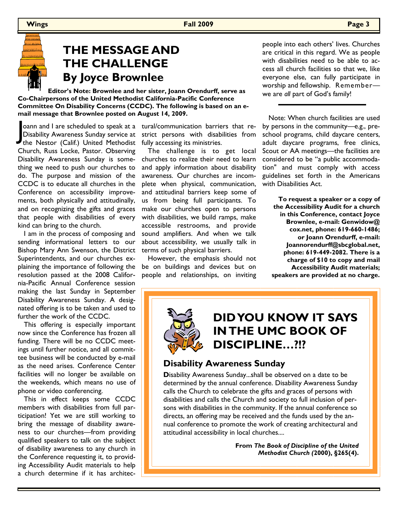

## **THE MESSAGE AND THE CHALLENGE By Joyce Brownlee**

 **Editor's Note: Brownlee and her sister, Joann Orendurff, serve as Co-Chairpersons of the United Methodist California-Pacific Conference Committee On Disability Concerns (CCDC). The following is based on an email message that Brownlee posted on August 14, 2009.** 

oann and I are scheduled to speak at a<br>Disability Awareness Sunday service at<br>the Nestor (Calif.) United Methodist oann and I are scheduled to speak at a Disability Awareness Sunday service at Church, Russ Locke, Pastor. Observing Disability Awareness Sunday is something we need to push our churches to do. The purpose and mission of the CCDC is to educate all churches in the Conference on accessibility improvements, both physically and attitudinally, and on recognizing the gifts and graces that people with disabilities of every kind can bring to the church.

 I am in the process of composing and sending informational letters to our Bishop Mary Ann Swenson, the District Superintendents, and our churches explaining the importance of following the resolution passed at the 2008 California-Pacific Annual Conference session making the last Sunday in September Disability Awareness Sunday. A designated offering is to be taken and used to further the work of the CCDC.

 This offering is especially important now since the Conference has frozen all funding. There will be no CCDC meetings until further notice, and all committee business will be conducted by e-mail as the need arises. Conference Center facilities will no longer be available on the weekends, which means no use of phone or video conferencing.

 This in effect keeps some CCDC members with disabilities from full participation! Yet we are still working to bring the message of disability awareness to our churches—from providing qualified speakers to talk on the subject of disability awareness to any church in the Conference requesting it, to providing Accessibility Audit materials to help a church determine if it has architectural/communication barriers that restrict persons with disabilities from fully accessing its ministries.

 The challenge is to get local churches to realize their need to learn and apply information about disability awareness. Our churches are incomplete when physical, communication, and attitudinal barriers keep some of us from being full participants. To make our churches open to persons with disabilities, we build ramps, make accessible restrooms, and provide sound amplifiers. And when we talk about accessibility, we usually talk in terms of such physical barriers.

 However, the emphasis should not be on buildings and devices but on people and relationships, on inviting people into each others' lives. Churches are critical in this regard. We as people with disabilities need to be able to access all church facilities so that we, like everyone else, can fully participate in worship and fellowship. Remember we are *all* part of God's family!

 Note: When church facilities are used by persons in the community—e.g., preschool programs, child daycare centers, adult daycare programs, free clinics, Scout or AA meetings—the facilities are considered to be "a public accommodation" and must comply with access guidelines set forth in the Americans with Disabilities Act.

**To request a speaker or a copy of the Accessibility Audit for a church in this Conference, contact Joyce Brownlee, e-mail: Genwidow@ cox.net, phone: 619-660-1486; or Joann Orendurff, e-mail: Joannorendurff@sbcglobal.net, phone: 619-449-2082. There is a charge of \$10 to copy and mail Accessibility Audit materials; speakers are provided at no charge.**

# **DID YOU KNOW IT SAYS IN THE UMC BOOK OF DISCIPLINE…?!?**

### **Disability Awareness Sunday**

**D**isability Awareness Sunday...shall be observed on a date to be determined by the annual conference. Disability Awareness Sunday calls the Church to celebrate the gifts and graces of persons with disabilities and calls the Church and society to full inclusion of persons with disabilities in the community. If the annual conference so directs, an offering may be received and the funds used by the annual conference to promote the work of creating architectural and attitudinal accessibility in local churches....

> **From** *The Book of Discipline of the United Methodist Church (***2000), §265(4).**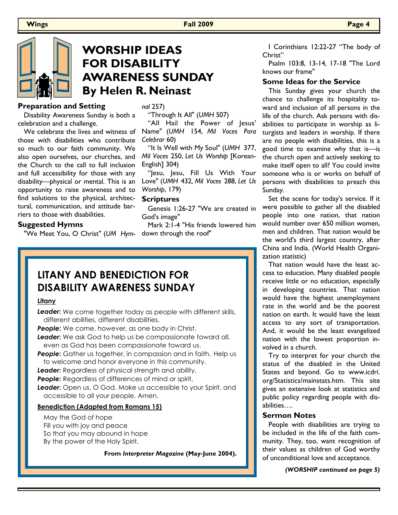

### **WORSHIP IDEAS FOR DISABILITY AWARENESS SUNDAY By Helen R. Neinast**

#### **Preparation and Setting**

 Disability Awareness Sunday is both a celebration and a challenge.

those with disabilities who contribute so much to our faith community. We also open ourselves, our churches, and the Church to the call to full inclusion and full accessibility for those with any disability—physical or mental. This is an opportunity to raise awareness and to find solutions to the physical, architectural, communication, and attitude barriers to those with disabilities.

#### **Suggested Hymns**

"We Meet You, O Christ" (*UM Hym-*down through the roof"

*nal* 257)

"Through It All" (*UMH* 507)

 We celebrate the lives and witness of Name" (*UMH* 154, *Mil Voces Para*  "All Hail the Power of Jesus' *Celebrar* 60)

> "It Is Well with My Soul" (*UMH* 377, *Mil Voces* 250, *Let Us Worship* [Korean-English] 304)

> "Jesu, Jesu, Fill Us With Your Love" (*UMH* 432, *Mil Voces* 288, *Let Us Worship*, 179)

#### **Scriptures**

 Genesis 1:26-27 "We are created in God's image"

Mark 2:1-4 "His friends lowered him

### **LITANY AND BENEDICTION FOR DISABILITY AWARENESS SUNDAY**

#### **Litany**

*Leader***:** We come together today as people with different skills, different abilities, different disabilities.

**People:** We come, however, as one body in Christ.

**Leader:** We ask God to help us be compassionate toward all, even as God has been compassionate toward us.

**People:** Gather us together, in compassion and in faith. Help us to welcome and honor everyone in this community.

**Leader:** Regardless of physical strength and ability,

**People:** Regardless of differences of mind or spirit,

**Leader:** Open us, O God. Make us accessible to your Spirit, and accessible to all your people. Amen.

#### **Benediction (Adapted from Romans 15)**

 May the God of hope Fill you with joy and peace So that you may abound in hope By the power of the Holy Spirit.

**From** *Interpreter Magazine* **(May-June 2004).** 

 I Corinthians 12:22-27 "The body of Christ"

 Psalm 103:8, 13-14, 17-18 "The Lord knows our frame"

#### **Some Ideas for the Service**

 This Sunday gives your church the chance to challenge its hospitality toward and inclusion of all persons in the life of the church. Ask persons with disabilities to participate in worship as liturgists and leaders in worship. If there are no people with disabilities, this is a good time to examine why that is—is the church open and actively seeking to make itself open to all? You could invite someone who is or works on behalf of persons with disabilities to preach this Sunday.

 Set the scene for today's service. If it were possible to gather all the disabled people into one nation, that nation would number over 650 million women, men and children. That nation would be the world's third largest country, after China and India. (World Health Organization statistic)

 That nation would have the least access to education. Many disabled people receive little or no education, especially in developing countries. That nation would have the highest unemployment rate in the world and be the poorest nation on earth. It would have the least access to any sort of transportation. And, it would be the least evangelized nation with the lowest proportion involved in a church.

 Try to interpret for your church the status of the disabled in the United States and beyond. Go to www.icdri. org/Statistics/mainstats.htm. This site gives an extensive look at statistics and public policy regarding people with disabilities….

#### **Sermon Notes**

 People with disabilities are trying to be included in the life of the faith community. They, too, want recognition of their values as children of God worthy of unconditional love and acceptance.

*(WORSHIP continued on page 5)*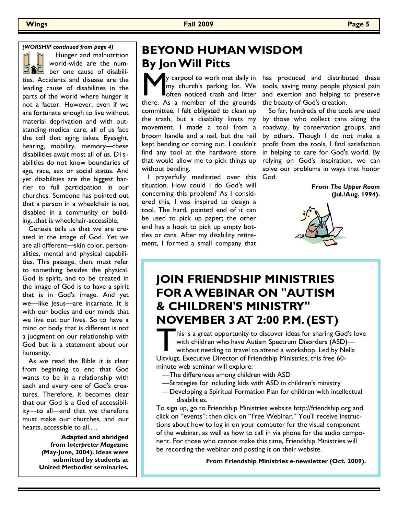*(WORSHIP continued from page 4)*

 Hunger and malnutrition world-wide are the number one cause of disabilities. Accidents and disease are the leading cause of disabilities in the parts of the world where hunger is not a factor. However, even if we are fortunate enough to live without material deprivation and with outstanding medical care, all of us face the toll that aging takes. Eyesight, hearing, mobility, memory—these disabilities await most all of us. D i sabilities do not know boundaries of age, race, sex or social status. And yet disabilities are the biggest barrier to full participation in our churches. Someone has pointed out that a person in a wheelchair is not disabled in a community or building...that is wheelchair-accessible.

 Genesis tells us that we are created in the image of God. Yet we are all different—skin color, personalities, mental and physical capabilities. This passage, then, must refer to something besides the physical. God is spirit, and to be created in the image of God is to have a spirit that is in God's image. And yet we—like Jesus—are incarnate. It is with our bodies and our minds that we live out our lives. So to have a mind or body that is different is not a judgment on our relationship with God but is a statement about our humanity.

 As we read the Bible it is clear from beginning to end that God wants to be in a relationship with each and every one of God's creatures. Therefore, it becomes clear that our God is a God of accessibility—to all—and that we therefore must make our churches, and our hearts, accessible to all.…

> **Adapted and abridged from** *Interpreter Magazine (***May-June, 2004). Ideas were submitted by students at United Methodist seminaries.**

# **BEYOND HUMAN WISDOM By Jon Will Pitts**

Y carpool to work met daily in has produced and distribution my church's parking lot. We tools, saving many people phoroten noticed trash and litter and exertion and helping to there. As a member of the grounds the beauty my church's parking lot. We **Loften noticed trash and litter** committee, I felt obligated to clean up movement. I made a tool from a broom handle and a nail, but the nail kept bending or coming out. I couldn't find any tool at the hardware store that would allow me to pick things up without bending.

 I prayerfully meditated over this God. situation. How could I do God's will concerning this problem? As I considered this, I was inspired to design a tool. The hard, pointed end of it can be used to pick up paper; the other end has a hook to pick up empty bottles or cans. After my disability retirement, I formed a small company that

y carpool to work met daily in has produced and distributed these tools, saving many people physical pain and exertion and helping to preserve

the trash, but a disability limits my by those who collect cans along the So far, hundreds of the tools are used roadway, by conservation groups, and by others. Though I do not make a profit from the tools, I find satisfaction in helping to care for God's world. By relying on God's inspiration, we can solve our problems in ways that honor

> **From** *The Upper Room* **(Jul./Aug. 1994).**



# **JOIN FRIENDSHIP MINISTRIES FOR A WEBINAR ON "AUTISM & CHILDREN'S MINISTRY" NOVEMBER 3 AT 2:00 P.M. (EST)**

This is a great opportunity to discover ideas for sharing Goomith children who have Autism Spectrum Disorders (ASD) without needing to travel to attend a workshop. Led by No Uitvlugt, Executive Director of Friendship Minis his is a great opportunity to discover ideas for sharing God's love with children who have Autism Spectrum Disorders (ASD) without needing to travel to attend a workshop. Led by Nella minute web seminar will explore:

- —The differences among children with ASD
- —Strategies for including kids with ASD in children's ministry
- —Developing a Spiritual Formation Plan for children with intellectual disabilities.

To sign up, go to Friendship Ministries website http://friendship.org and click on "events"; then click on "Free Webinar." You'll receive instructions about how to log in on your computer for the visual component of the webinar, as well as how to call in via phone for the audio component. For those who cannot make this time, Friendship Ministries will be recording the webinar and posting it on their website.

**From Friendship Ministries e-newsletter (Oct. 2009).**